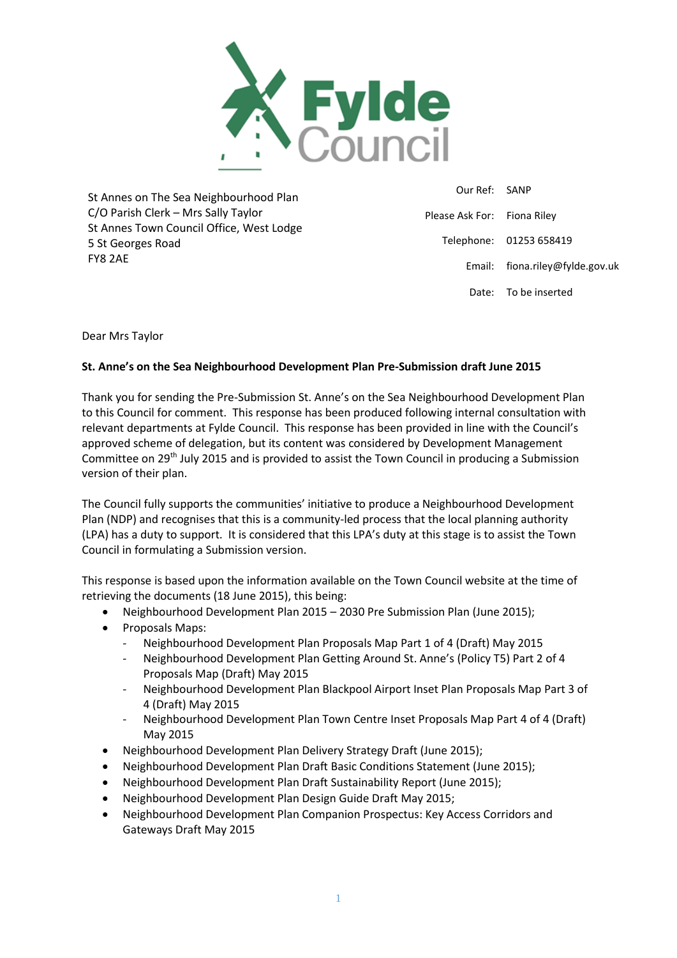

St Annes on The Sea Neighbourhood Plan C/O Parish Clerk – Mrs Sally Taylor St Annes Town Council Office, West Lodge 5 St Georges Road FY8 2AE

 Our Ref: SANP Please Ask For: Fiona Riley Telephone: 01253 658419 Email: fiona.riley@fylde.gov.uk Date: To be inserted

# Dear Mrs Taylor

# **St. Anne's on the Sea Neighbourhood Development Plan Pre-Submission draft June 2015**

Thank you for sending the Pre-Submission St. Anne's on the Sea Neighbourhood Development Plan to this Council for comment. This response has been produced following internal consultation with relevant departments at Fylde Council. This response has been provided in line with the Council's approved scheme of delegation, but its content was considered by Development Management Committee on 29<sup>th</sup> July 2015 and is provided to assist the Town Council in producing a Submission version of their plan.

The Council fully supports the communities' initiative to produce a Neighbourhood Development Plan (NDP) and recognises that this is a community-led process that the local planning authority (LPA) has a duty to support. It is considered that this LPA's duty at this stage is to assist the Town Council in formulating a Submission version.

This response is based upon the information available on the Town Council website at the time of retrieving the documents (18 June 2015), this being:

- Neighbourhood Development Plan 2015 2030 Pre Submission Plan (June 2015);
- Proposals Maps:
	- Neighbourhood Development Plan Proposals Map Part 1 of 4 (Draft) May 2015
	- Neighbourhood Development Plan Getting Around St. Anne's (Policy T5) Part 2 of 4 Proposals Map (Draft) May 2015
	- Neighbourhood Development Plan Blackpool Airport Inset Plan Proposals Map Part 3 of 4 (Draft) May 2015
	- Neighbourhood Development Plan Town Centre Inset Proposals Map Part 4 of 4 (Draft) May 2015
- Neighbourhood Development Plan Delivery Strategy Draft (June 2015);
- Neighbourhood Development Plan Draft Basic Conditions Statement (June 2015);
- Neighbourhood Development Plan Draft Sustainability Report (June 2015);
- Neighbourhood Development Plan Design Guide Draft May 2015;
- Neighbourhood Development Plan Companion Prospectus: Key Access Corridors and Gateways Draft May 2015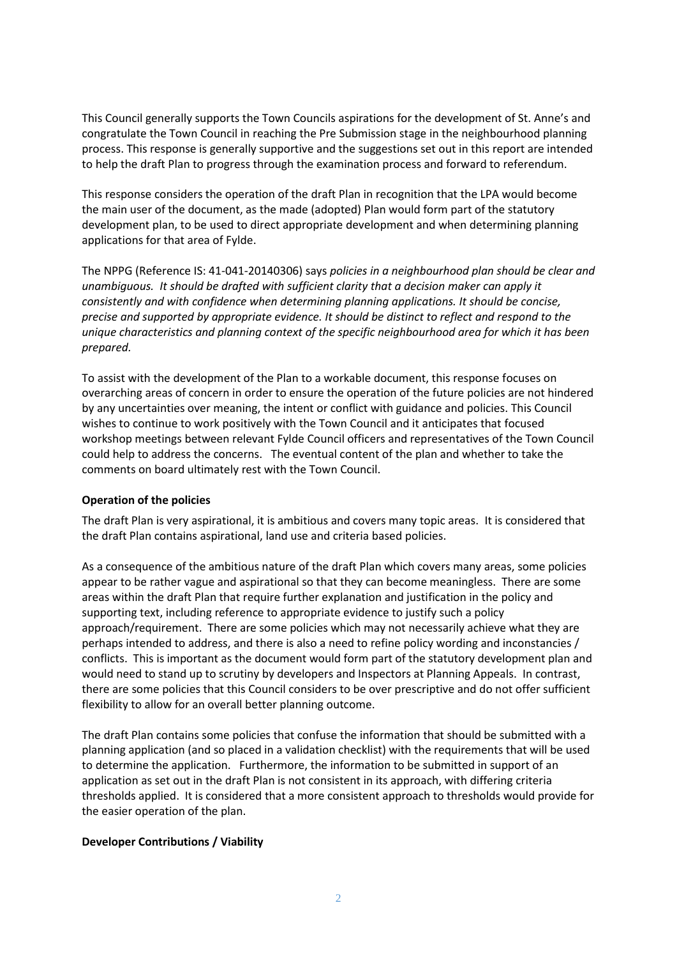This Council generally supports the Town Councils aspirations for the development of St. Anne's and congratulate the Town Council in reaching the Pre Submission stage in the neighbourhood planning process. This response is generally supportive and the suggestions set out in this report are intended to help the draft Plan to progress through the examination process and forward to referendum.

This response considers the operation of the draft Plan in recognition that the LPA would become the main user of the document, as the made (adopted) Plan would form part of the statutory development plan, to be used to direct appropriate development and when determining planning applications for that area of Fylde.

The NPPG (Reference IS: 41-041-20140306) says *policies in a neighbourhood plan should be clear and unambiguous. It should be drafted with sufficient clarity that a decision maker can apply it consistently and with confidence when determining planning applications. It should be concise, precise and supported by appropriate evidence. It should be distinct to reflect and respond to the unique characteristics and planning context of the specific neighbourhood area for which it has been prepared.*

To assist with the development of the Plan to a workable document, this response focuses on overarching areas of concern in order to ensure the operation of the future policies are not hindered by any uncertainties over meaning, the intent or conflict with guidance and policies. This Council wishes to continue to work positively with the Town Council and it anticipates that focused workshop meetings between relevant Fylde Council officers and representatives of the Town Council could help to address the concerns. The eventual content of the plan and whether to take the comments on board ultimately rest with the Town Council.

### **Operation of the policies**

The draft Plan is very aspirational, it is ambitious and covers many topic areas. It is considered that the draft Plan contains aspirational, land use and criteria based policies.

As a consequence of the ambitious nature of the draft Plan which covers many areas, some policies appear to be rather vague and aspirational so that they can become meaningless. There are some areas within the draft Plan that require further explanation and justification in the policy and supporting text, including reference to appropriate evidence to justify such a policy approach/requirement. There are some policies which may not necessarily achieve what they are perhaps intended to address, and there is also a need to refine policy wording and inconstancies / conflicts. This is important as the document would form part of the statutory development plan and would need to stand up to scrutiny by developers and Inspectors at Planning Appeals. In contrast, there are some policies that this Council considers to be over prescriptive and do not offer sufficient flexibility to allow for an overall better planning outcome.

The draft Plan contains some policies that confuse the information that should be submitted with a planning application (and so placed in a validation checklist) with the requirements that will be used to determine the application. Furthermore, the information to be submitted in support of an application as set out in the draft Plan is not consistent in its approach, with differing criteria thresholds applied. It is considered that a more consistent approach to thresholds would provide for the easier operation of the plan.

### **Developer Contributions / Viability**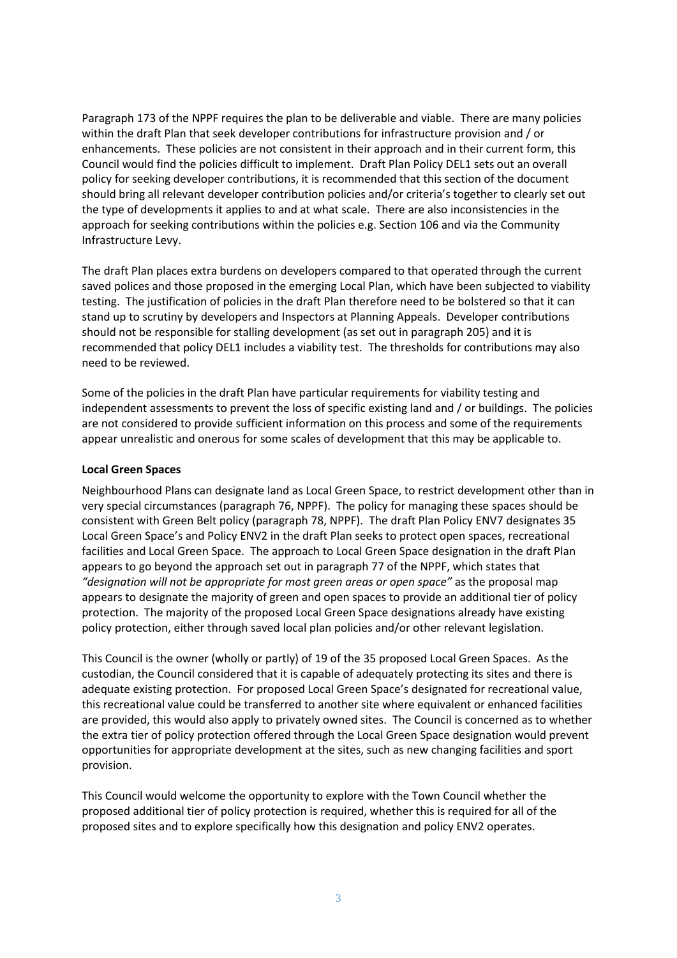Paragraph 173 of the NPPF requires the plan to be deliverable and viable. There are many policies within the draft Plan that seek developer contributions for infrastructure provision and / or enhancements. These policies are not consistent in their approach and in their current form, this Council would find the policies difficult to implement. Draft Plan Policy DEL1 sets out an overall policy for seeking developer contributions, it is recommended that this section of the document should bring all relevant developer contribution policies and/or criteria's together to clearly set out the type of developments it applies to and at what scale. There are also inconsistencies in the approach for seeking contributions within the policies e.g. Section 106 and via the Community Infrastructure Levy.

The draft Plan places extra burdens on developers compared to that operated through the current saved polices and those proposed in the emerging Local Plan, which have been subjected to viability testing. The justification of policies in the draft Plan therefore need to be bolstered so that it can stand up to scrutiny by developers and Inspectors at Planning Appeals. Developer contributions should not be responsible for stalling development (as set out in paragraph 205) and it is recommended that policy DEL1 includes a viability test. The thresholds for contributions may also need to be reviewed.

Some of the policies in the draft Plan have particular requirements for viability testing and independent assessments to prevent the loss of specific existing land and / or buildings. The policies are not considered to provide sufficient information on this process and some of the requirements appear unrealistic and onerous for some scales of development that this may be applicable to.

### **Local Green Spaces**

Neighbourhood Plans can designate land as Local Green Space, to restrict development other than in very special circumstances (paragraph 76, NPPF). The policy for managing these spaces should be consistent with Green Belt policy (paragraph 78, NPPF). The draft Plan Policy ENV7 designates 35 Local Green Space's and Policy ENV2 in the draft Plan seeks to protect open spaces, recreational facilities and Local Green Space. The approach to Local Green Space designation in the draft Plan appears to go beyond the approach set out in paragraph 77 of the NPPF, which states that *"designation will not be appropriate for most green areas or open space"* as the proposal map appears to designate the majority of green and open spaces to provide an additional tier of policy protection. The majority of the proposed Local Green Space designations already have existing policy protection, either through saved local plan policies and/or other relevant legislation.

This Council is the owner (wholly or partly) of 19 of the 35 proposed Local Green Spaces. As the custodian, the Council considered that it is capable of adequately protecting its sites and there is adequate existing protection. For proposed Local Green Space's designated for recreational value, this recreational value could be transferred to another site where equivalent or enhanced facilities are provided, this would also apply to privately owned sites. The Council is concerned as to whether the extra tier of policy protection offered through the Local Green Space designation would prevent opportunities for appropriate development at the sites, such as new changing facilities and sport provision.

This Council would welcome the opportunity to explore with the Town Council whether the proposed additional tier of policy protection is required, whether this is required for all of the proposed sites and to explore specifically how this designation and policy ENV2 operates.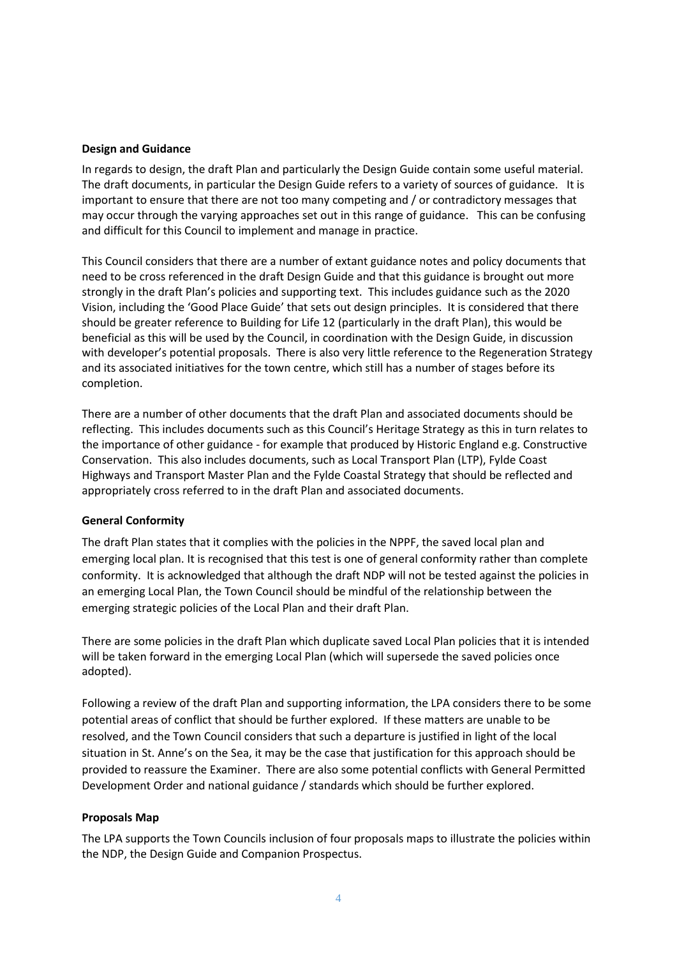### **Design and Guidance**

In regards to design, the draft Plan and particularly the Design Guide contain some useful material. The draft documents, in particular the Design Guide refers to a variety of sources of guidance. It is important to ensure that there are not too many competing and / or contradictory messages that may occur through the varying approaches set out in this range of guidance. This can be confusing and difficult for this Council to implement and manage in practice.

This Council considers that there are a number of extant guidance notes and policy documents that need to be cross referenced in the draft Design Guide and that this guidance is brought out more strongly in the draft Plan's policies and supporting text. This includes guidance such as the 2020 Vision, including the 'Good Place Guide' that sets out design principles. It is considered that there should be greater reference to Building for Life 12 (particularly in the draft Plan), this would be beneficial as this will be used by the Council, in coordination with the Design Guide, in discussion with developer's potential proposals. There is also very little reference to the Regeneration Strategy and its associated initiatives for the town centre, which still has a number of stages before its completion.

There are a number of other documents that the draft Plan and associated documents should be reflecting. This includes documents such as this Council's Heritage Strategy as this in turn relates to the importance of other guidance - for example that produced by Historic England e.g. Constructive Conservation. This also includes documents, such as Local Transport Plan (LTP), Fylde Coast Highways and Transport Master Plan and the Fylde Coastal Strategy that should be reflected and appropriately cross referred to in the draft Plan and associated documents.

# **General Conformity**

The draft Plan states that it complies with the policies in the NPPF, the saved local plan and emerging local plan. It is recognised that this test is one of general conformity rather than complete conformity. It is acknowledged that although the draft NDP will not be tested against the policies in an emerging Local Plan, the Town Council should be mindful of the relationship between the emerging strategic policies of the Local Plan and their draft Plan.

There are some policies in the draft Plan which duplicate saved Local Plan policies that it is intended will be taken forward in the emerging Local Plan (which will supersede the saved policies once adopted).

Following a review of the draft Plan and supporting information, the LPA considers there to be some potential areas of conflict that should be further explored. If these matters are unable to be resolved, and the Town Council considers that such a departure is justified in light of the local situation in St. Anne's on the Sea, it may be the case that justification for this approach should be provided to reassure the Examiner. There are also some potential conflicts with General Permitted Development Order and national guidance / standards which should be further explored.

### **Proposals Map**

The LPA supports the Town Councils inclusion of four proposals maps to illustrate the policies within the NDP, the Design Guide and Companion Prospectus.